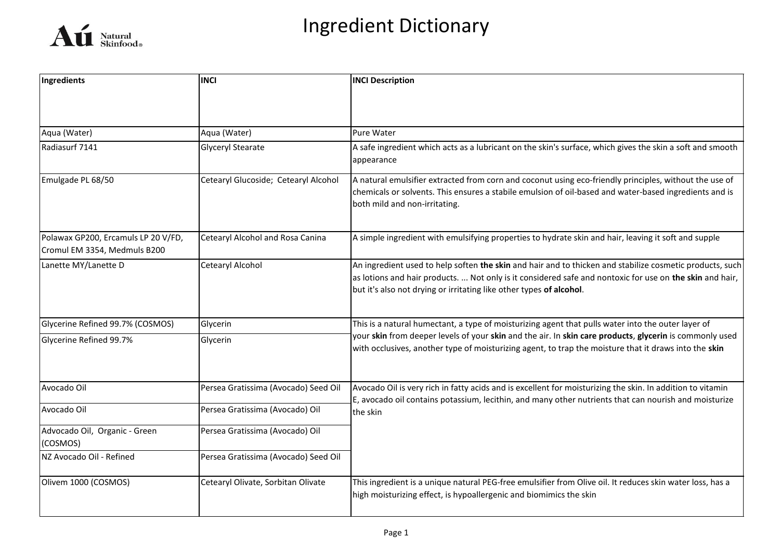

| Ingredients                                                         | <b>INCI</b>                          | <b>INCI Description</b>                                                                                                                                                                                                                                                                     |
|---------------------------------------------------------------------|--------------------------------------|---------------------------------------------------------------------------------------------------------------------------------------------------------------------------------------------------------------------------------------------------------------------------------------------|
|                                                                     |                                      |                                                                                                                                                                                                                                                                                             |
| Aqua (Water)                                                        | Aqua (Water)                         | Pure Water                                                                                                                                                                                                                                                                                  |
| Radiasurf 7141                                                      | Glyceryl Stearate                    | A safe ingredient which acts as a lubricant on the skin's surface, which gives the skin a soft and smooth<br>appearance                                                                                                                                                                     |
| Emulgade PL 68/50                                                   | Cetearyl Glucoside; Cetearyl Alcohol | A natural emulsifier extracted from corn and coconut using eco-friendly principles, without the use of<br>chemicals or solvents. This ensures a stabile emulsion of oil-based and water-based ingredients and is<br>both mild and non-irritating.                                           |
| Polawax GP200, Ercamuls LP 20 V/FD,<br>Cromul EM 3354, Medmuls B200 | Cetearyl Alcohol and Rosa Canina     | A simple ingredient with emulsifying properties to hydrate skin and hair, leaving it soft and supple                                                                                                                                                                                        |
| Lanette MY/Lanette D                                                | <b>Cetearyl Alcohol</b>              | An ingredient used to help soften the skin and hair and to thicken and stabilize cosmetic products, such<br>as lotions and hair products.  Not only is it considered safe and nontoxic for use on the skin and hair,<br>but it's also not drying or irritating like other types of alcohol. |
| Glycerine Refined 99.7% (COSMOS)                                    | Glycerin                             | This is a natural humectant, a type of moisturizing agent that pulls water into the outer layer of                                                                                                                                                                                          |
| Glycerine Refined 99.7%                                             | Glycerin                             | your skin from deeper levels of your skin and the air. In skin care products, glycerin is commonly used<br>with occlusives, another type of moisturizing agent, to trap the moisture that it draws into the skin                                                                            |
| Avocado Oil                                                         | Persea Gratissima (Avocado) Seed Oil | Avocado Oil is very rich in fatty acids and is excellent for moisturizing the skin. In addition to vitamin<br>E, avocado oil contains potassium, lecithin, and many other nutrients that can nourish and moisturize                                                                         |
| Avocado Oil                                                         | Persea Gratissima (Avocado) Oil      | the skin                                                                                                                                                                                                                                                                                    |
| Advocado Oil, Organic - Green<br>(COSMOS)                           | Persea Gratissima (Avocado) Oil      |                                                                                                                                                                                                                                                                                             |
| NZ Avocado Oil - Refined                                            | Persea Gratissima (Avocado) Seed Oil |                                                                                                                                                                                                                                                                                             |
| Olivem 1000 (COSMOS)                                                | Cetearyl Olivate, Sorbitan Olivate   | This ingredient is a unique natural PEG-free emulsifier from Olive oil. It reduces skin water loss, has a<br>high moisturizing effect, is hypoallergenic and biomimics the skin                                                                                                             |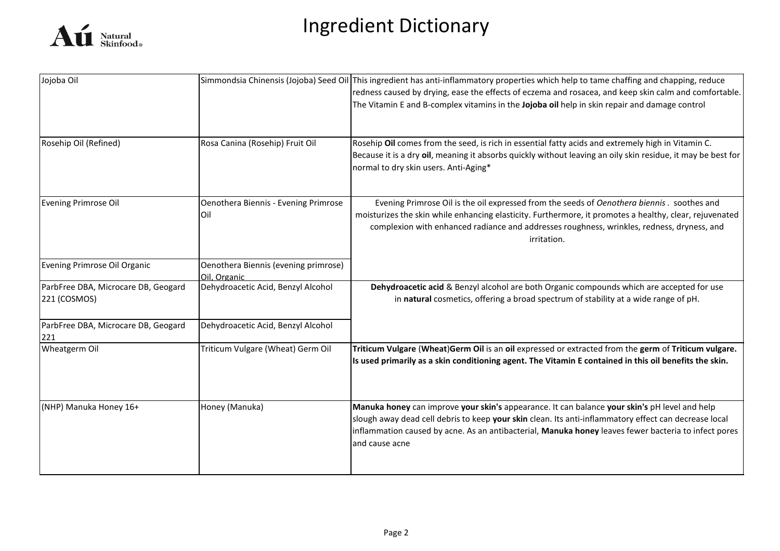

| Jojoba Oil                                          |                                                      | Simmondsia Chinensis (Jojoba) Seed Oil This ingredient has anti-inflammatory properties which help to tame chaffing and chapping, reduce<br>redness caused by drying, ease the effects of eczema and rosacea, and keep skin calm and comfortable.<br>The Vitamin E and B-complex vitamins in the Jojoba oil help in skin repair and damage control |
|-----------------------------------------------------|------------------------------------------------------|----------------------------------------------------------------------------------------------------------------------------------------------------------------------------------------------------------------------------------------------------------------------------------------------------------------------------------------------------|
| Rosehip Oil (Refined)                               | Rosa Canina (Rosehip) Fruit Oil                      | Rosehip Oil comes from the seed, is rich in essential fatty acids and extremely high in Vitamin C.<br>Because it is a dry oil, meaning it absorbs quickly without leaving an oily skin residue, it may be best for<br>normal to dry skin users. Anti-Aging*                                                                                        |
| <b>Evening Primrose Oil</b>                         | Oenothera Biennis - Evening Primrose<br>Oil          | Evening Primrose Oil is the oil expressed from the seeds of Oenothera biennis. soothes and<br>moisturizes the skin while enhancing elasticity. Furthermore, it promotes a healthy, clear, rejuvenated<br>complexion with enhanced radiance and addresses roughness, wrinkles, redness, dryness, and<br>irritation.                                 |
| Evening Primrose Oil Organic                        | Oenothera Biennis (evening primrose)<br>Oil. Organic |                                                                                                                                                                                                                                                                                                                                                    |
| ParbFree DBA, Microcare DB, Geogard<br>221 (COSMOS) | Dehydroacetic Acid, Benzyl Alcohol                   | Dehydroacetic acid & Benzyl alcohol are both Organic compounds which are accepted for use<br>in natural cosmetics, offering a broad spectrum of stability at a wide range of pH.                                                                                                                                                                   |
| ParbFree DBA, Microcare DB, Geogard<br>221          | Dehydroacetic Acid, Benzyl Alcohol                   |                                                                                                                                                                                                                                                                                                                                                    |
| Wheatgerm Oil                                       | Triticum Vulgare (Wheat) Germ Oil                    | Triticum Vulgare (Wheat)Germ Oil is an oil expressed or extracted from the germ of Triticum vulgare.<br>Is used primarily as a skin conditioning agent. The Vitamin E contained in this oil benefits the skin.                                                                                                                                     |
| (NHP) Manuka Honey 16+                              | Honey (Manuka)                                       | Manuka honey can improve your skin's appearance. It can balance your skin's pH level and help<br>slough away dead cell debris to keep your skin clean. Its anti-inflammatory effect can decrease local<br>inflammation caused by acne. As an antibacterial, Manuka honey leaves fewer bacteria to infect pores<br>and cause acne                   |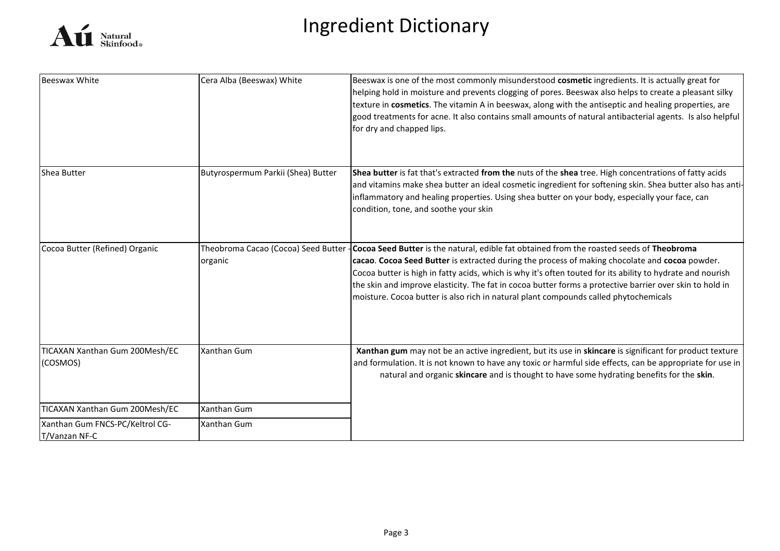

| <b>Beeswax White</b>                             | Cera Alba (Beeswax) White          | Beeswax is one of the most commonly misunderstood cosmetic ingredients. It is actually great for<br>helping hold in moisture and prevents clogging of pores. Beeswax also helps to create a pleasant silky<br>texture in cosmetics. The vitamin A in beeswax, along with the antiseptic and healing properties, are<br>good treatments for acne. It also contains small amounts of natural antibacterial agents. Is also helpful<br>for dry and chapped lips.                                                                                       |
|--------------------------------------------------|------------------------------------|-----------------------------------------------------------------------------------------------------------------------------------------------------------------------------------------------------------------------------------------------------------------------------------------------------------------------------------------------------------------------------------------------------------------------------------------------------------------------------------------------------------------------------------------------------|
| Shea Butter                                      | Butyrospermum Parkii (Shea) Butter | Shea butter is fat that's extracted from the nuts of the shea tree. High concentrations of fatty acids<br>and vitamins make shea butter an ideal cosmetic ingredient for softening skin. Shea butter also has anti-<br>inflammatory and healing properties. Using shea butter on your body, especially your face, can<br>condition, tone, and soothe your skin                                                                                                                                                                                      |
| Cocoa Butter (Refined) Organic                   | organic                            | Theobroma Cacao (Cocoa) Seed Butter - Cocoa Seed Butter is the natural, edible fat obtained from the roasted seeds of Theobroma<br>cacao. Cocoa Seed Butter is extracted during the process of making chocolate and cocoa powder.<br>Cocoa butter is high in fatty acids, which is why it's often touted for its ability to hydrate and nourish<br>the skin and improve elasticity. The fat in cocoa butter forms a protective barrier over skin to hold in<br>moisture. Cocoa butter is also rich in natural plant compounds called phytochemicals |
| TICAXAN Xanthan Gum 200Mesh/EC<br>(COSMOS)       | <b>Xanthan Gum</b>                 | Xanthan gum may not be an active ingredient, but its use in skincare is significant for product texture<br>and formulation. It is not known to have any toxic or harmful side effects, can be appropriate for use in<br>natural and organic skincare and is thought to have some hydrating benefits for the skin.                                                                                                                                                                                                                                   |
| TICAXAN Xanthan Gum 200Mesh/EC                   | <b>Xanthan Gum</b>                 |                                                                                                                                                                                                                                                                                                                                                                                                                                                                                                                                                     |
| Xanthan Gum FNCS-PC/Keltrol CG-<br>T/Vanzan NF-C | <b>Xanthan Gum</b>                 |                                                                                                                                                                                                                                                                                                                                                                                                                                                                                                                                                     |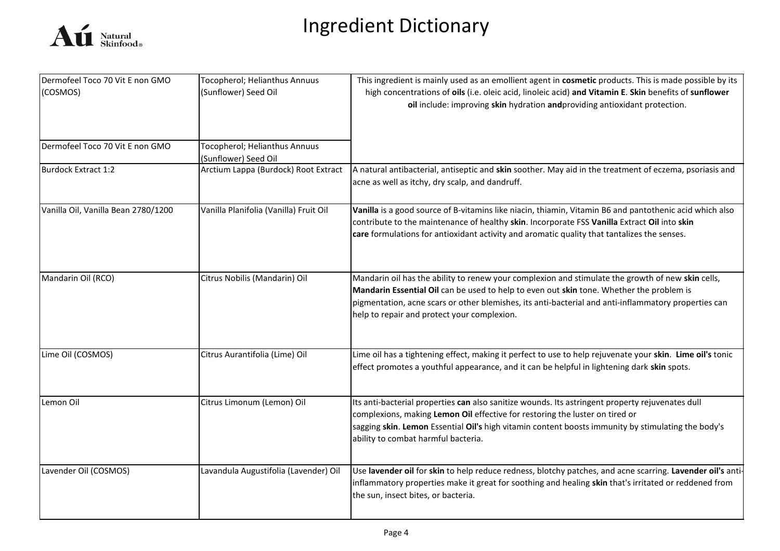

| Dermofeel Toco 70 Vit E non GMO     | Tocopherol; Helianthus Annuus          | This ingredient is mainly used as an emollient agent in cosmetic products. This is made possible by its                                                                                                                                                                                                                                              |
|-------------------------------------|----------------------------------------|------------------------------------------------------------------------------------------------------------------------------------------------------------------------------------------------------------------------------------------------------------------------------------------------------------------------------------------------------|
| (COSMOS)                            | (Sunflower) Seed Oil                   | high concentrations of oils (i.e. oleic acid, linoleic acid) and Vitamin E. Skin benefits of sunflower<br>oil include: improving skin hydration andproviding antioxidant protection.                                                                                                                                                                 |
| Dermofeel Toco 70 Vit E non GMO     | Tocopherol; Helianthus Annuus          |                                                                                                                                                                                                                                                                                                                                                      |
|                                     | (Sunflower) Seed Oil                   |                                                                                                                                                                                                                                                                                                                                                      |
| Burdock Extract 1:2                 | Arctium Lappa (Burdock) Root Extract   | A natural antibacterial, antiseptic and skin soother. May aid in the treatment of eczema, psoriasis and<br>acne as well as itchy, dry scalp, and dandruff.                                                                                                                                                                                           |
| Vanilla Oil, Vanilla Bean 2780/1200 | Vanilla Planifolia (Vanilla) Fruit Oil | Vanilla is a good source of B-vitamins like niacin, thiamin, Vitamin B6 and pantothenic acid which also<br>contribute to the maintenance of healthy skin. Incorporate FSS Vanilla Extract Oil into skin<br>care formulations for antioxidant activity and aromatic quality that tantalizes the senses.                                               |
| Mandarin Oil (RCO)                  | Citrus Nobilis (Mandarin) Oil          | Mandarin oil has the ability to renew your complexion and stimulate the growth of new skin cells,<br>Mandarin Essential Oil can be used to help to even out skin tone. Whether the problem is<br>pigmentation, acne scars or other blemishes, its anti-bacterial and anti-inflammatory properties can<br>help to repair and protect your complexion. |
| Lime Oil (COSMOS)                   | Citrus Aurantifolia (Lime) Oil         | Lime oil has a tightening effect, making it perfect to use to help rejuvenate your skin. Lime oil's tonic<br>effect promotes a youthful appearance, and it can be helpful in lightening dark skin spots.                                                                                                                                             |
| Lemon Oil                           | Citrus Limonum (Lemon) Oil             | Its anti-bacterial properties can also sanitize wounds. Its astringent property rejuvenates dull<br>complexions, making Lemon Oil effective for restoring the luster on tired or<br>sagging skin. Lemon Essential Oil's high vitamin content boosts immunity by stimulating the body's<br>ability to combat harmful bacteria.                        |
| Lavender Oil (COSMOS)               | Lavandula Augustifolia (Lavender) Oil  | Use lavender oil for skin to help reduce redness, blotchy patches, and acne scarring. Lavender oil's anti-<br>inflammatory properties make it great for soothing and healing skin that's irritated or reddened from<br>the sun, insect bites, or bacteria.                                                                                           |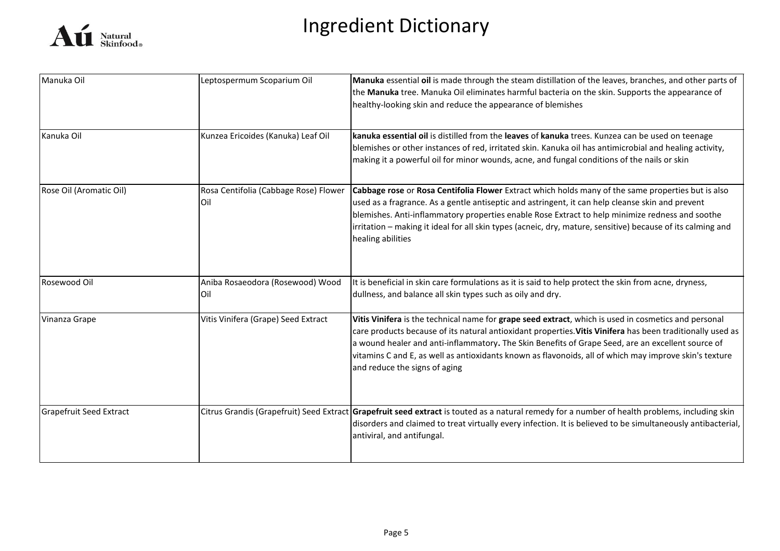

| Manuka Oil                     | Leptospermum Scoparium Oil                   | Manuka essential oil is made through the steam distillation of the leaves, branches, and other parts of<br>the Manuka tree. Manuka Oil eliminates harmful bacteria on the skin. Supports the appearance of<br>healthy-looking skin and reduce the appearance of blemishes                                                                                                                                                                                          |
|--------------------------------|----------------------------------------------|--------------------------------------------------------------------------------------------------------------------------------------------------------------------------------------------------------------------------------------------------------------------------------------------------------------------------------------------------------------------------------------------------------------------------------------------------------------------|
| Kanuka Oil                     | Kunzea Ericoides (Kanuka) Leaf Oil           | kanuka essential oil is distilled from the leaves of kanuka trees. Kunzea can be used on teenage<br>blemishes or other instances of red, irritated skin. Kanuka oil has antimicrobial and healing activity,<br>making it a powerful oil for minor wounds, acne, and fungal conditions of the nails or skin                                                                                                                                                         |
| Rose Oil (Aromatic Oil)        | Rosa Centifolia (Cabbage Rose) Flower<br>Oil | Cabbage rose or Rosa Centifolia Flower Extract which holds many of the same properties but is also<br>used as a fragrance. As a gentle antiseptic and astringent, it can help cleanse skin and prevent<br>blemishes. Anti-inflammatory properties enable Rose Extract to help minimize redness and soothe<br>irritation - making it ideal for all skin types (acneic, dry, mature, sensitive) because of its calming and<br>healing abilities                      |
| Rosewood Oil                   | Aniba Rosaeodora (Rosewood) Wood<br>Oil      | It is beneficial in skin care formulations as it is said to help protect the skin from acne, dryness,<br>dullness, and balance all skin types such as oily and dry.                                                                                                                                                                                                                                                                                                |
| Vinanza Grape                  | Vitis Vinifera (Grape) Seed Extract          | Vitis Vinifera is the technical name for grape seed extract, which is used in cosmetics and personal<br>care products because of its natural antioxidant properties. Vitis Vinifera has been traditionally used as<br>a wound healer and anti-inflammatory. The Skin Benefits of Grape Seed, are an excellent source of<br>vitamins C and E, as well as antioxidants known as flavonoids, all of which may improve skin's texture<br>and reduce the signs of aging |
| <b>Grapefruit Seed Extract</b> |                                              | Citrus Grandis (Grapefruit) Seed Extract Grapefruit seed extract is touted as a natural remedy for a number of health problems, including skin<br>disorders and claimed to treat virtually every infection. It is believed to be simultaneously antibacterial,<br>antiviral, and antifungal.                                                                                                                                                                       |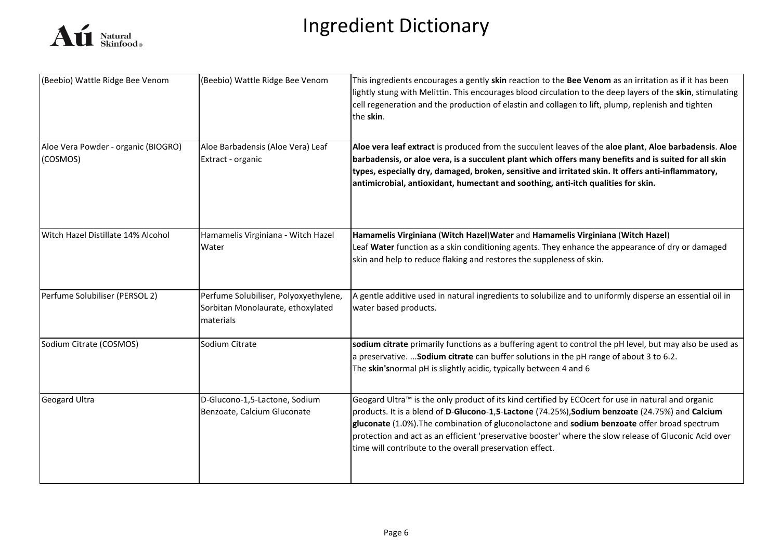

| (Beebio) Wattle Ridge Bee Venom                 | (Beebio) Wattle Ridge Bee Venom                                                         | This ingredients encourages a gently skin reaction to the Bee Venom as an irritation as if it has been<br>lightly stung with Melittin. This encourages blood circulation to the deep layers of the skin, stimulating<br>cell regeneration and the production of elastin and collagen to lift, plump, replenish and tighten<br>the skin.                                                                                                                                     |
|-------------------------------------------------|-----------------------------------------------------------------------------------------|-----------------------------------------------------------------------------------------------------------------------------------------------------------------------------------------------------------------------------------------------------------------------------------------------------------------------------------------------------------------------------------------------------------------------------------------------------------------------------|
| Aloe Vera Powder - organic (BIOGRO)<br>(COSMOS) | Aloe Barbadensis (Aloe Vera) Leaf<br>Extract - organic                                  | Aloe vera leaf extract is produced from the succulent leaves of the aloe plant, Aloe barbadensis. Aloe<br>barbadensis, or aloe vera, is a succulent plant which offers many benefits and is suited for all skin<br>types, especially dry, damaged, broken, sensitive and irritated skin. It offers anti-inflammatory,<br>antimicrobial, antioxidant, humectant and soothing, anti-itch qualities for skin.                                                                  |
| Witch Hazel Distillate 14% Alcohol              | Hamamelis Virginiana - Witch Hazel<br>Water                                             | Hamamelis Virginiana (Witch Hazel) Water and Hamamelis Virginiana (Witch Hazel)<br>Leaf Water function as a skin conditioning agents. They enhance the appearance of dry or damaged<br>skin and help to reduce flaking and restores the suppleness of skin.                                                                                                                                                                                                                 |
| Perfume Solubiliser (PERSOL 2)                  | Perfume Solubiliser, Polyoxyethylene,<br>Sorbitan Monolaurate, ethoxylated<br>materials | A gentle additive used in natural ingredients to solubilize and to uniformly disperse an essential oil in<br>water based products.                                                                                                                                                                                                                                                                                                                                          |
| Sodium Citrate (COSMOS)                         | Sodium Citrate                                                                          | sodium citrate primarily functions as a buffering agent to control the pH level, but may also be used as<br>a preservative.  Sodium citrate can buffer solutions in the pH range of about 3 to 6.2.<br>The skin'snormal pH is slightly acidic, typically between 4 and 6                                                                                                                                                                                                    |
| <b>Geogard Ultra</b>                            | D-Glucono-1,5-Lactone, Sodium<br>Benzoate, Calcium Gluconate                            | Geogard Ultra™ is the only product of its kind certified by ECOcert for use in natural and organic<br>products. It is a blend of D-Glucono-1,5-Lactone (74.25%), Sodium benzoate (24.75%) and Calcium<br>gluconate (1.0%). The combination of gluconolactone and sodium benzoate offer broad spectrum<br>protection and act as an efficient 'preservative booster' where the slow release of Gluconic Acid over<br>time will contribute to the overall preservation effect. |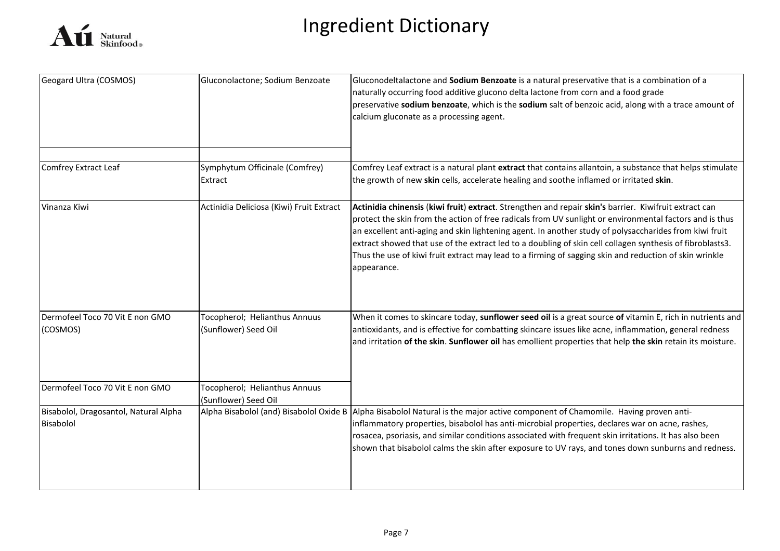

| Geogard Ultra (COSMOS)                             | Gluconolactone; Sodium Benzoate                       | Gluconodeltalactone and Sodium Benzoate is a natural preservative that is a combination of a<br>naturally occurring food additive glucono delta lactone from corn and a food grade<br>preservative sodium benzoate, which is the sodium salt of benzoic acid, along with a trace amount of<br>calcium gluconate as a processing agent.                                                                                                                                                                                                                           |
|----------------------------------------------------|-------------------------------------------------------|------------------------------------------------------------------------------------------------------------------------------------------------------------------------------------------------------------------------------------------------------------------------------------------------------------------------------------------------------------------------------------------------------------------------------------------------------------------------------------------------------------------------------------------------------------------|
| Comfrey Extract Leaf                               | Symphytum Officinale (Comfrey)<br>Extract             | Comfrey Leaf extract is a natural plant extract that contains allantoin, a substance that helps stimulate<br>the growth of new skin cells, accelerate healing and soothe inflamed or irritated skin.                                                                                                                                                                                                                                                                                                                                                             |
| Vinanza Kiwi                                       | Actinidia Deliciosa (Kiwi) Fruit Extract              | Actinidia chinensis (kiwi fruit) extract. Strengthen and repair skin's barrier. Kiwifruit extract can<br>protect the skin from the action of free radicals from UV sunlight or environmental factors and is thus<br>an excellent anti-aging and skin lightening agent. In another study of polysaccharides from kiwi fruit<br>extract showed that use of the extract led to a doubling of skin cell collagen synthesis of fibroblasts3.<br>Thus the use of kiwi fruit extract may lead to a firming of sagging skin and reduction of skin wrinkle<br>appearance. |
| Dermofeel Toco 70 Vit E non GMO<br>(COSMOS)        | Tocopherol; Helianthus Annuus<br>(Sunflower) Seed Oil | When it comes to skincare today, sunflower seed oil is a great source of vitamin E, rich in nutrients and<br>antioxidants, and is effective for combatting skincare issues like acne, inflammation, general redness<br>and irritation of the skin. Sunflower oil has emollient properties that help the skin retain its moisture.                                                                                                                                                                                                                                |
| Dermofeel Toco 70 Vit E non GMO                    | Tocopherol; Helianthus Annuus<br>(Sunflower) Seed Oil |                                                                                                                                                                                                                                                                                                                                                                                                                                                                                                                                                                  |
| Bisabolol, Dragosantol, Natural Alpha<br>Bisabolol |                                                       | Alpha Bisabolol (and) Bisabolol Oxide B Alpha Bisabolol Natural is the major active component of Chamomile. Having proven anti-<br>inflammatory properties, bisabolol has anti-microbial properties, declares war on acne, rashes,<br>rosacea, psoriasis, and similar conditions associated with frequent skin irritations. It has also been<br>shown that bisabolol calms the skin after exposure to UV rays, and tones down sunburns and redness.                                                                                                              |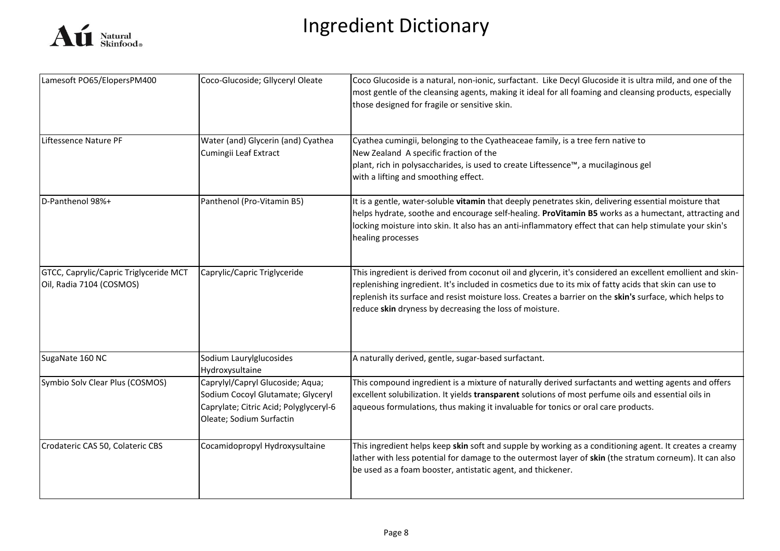

| Lamesoft PO65/ElopersPM400                                         | Coco-Glucoside; Gllyceryl Oleate                                                                                                            | Coco Glucoside is a natural, non-ionic, surfactant. Like Decyl Glucoside it is ultra mild, and one of the<br>most gentle of the cleansing agents, making it ideal for all foaming and cleansing products, especially<br>those designed for fragile or sensitive skin.                                                                                                                      |
|--------------------------------------------------------------------|---------------------------------------------------------------------------------------------------------------------------------------------|--------------------------------------------------------------------------------------------------------------------------------------------------------------------------------------------------------------------------------------------------------------------------------------------------------------------------------------------------------------------------------------------|
| Liftessence Nature PF                                              | Water (and) Glycerin (and) Cyathea<br>Cumingii Leaf Extract                                                                                 | Cyathea cumingii, belonging to the Cyatheaceae family, is a tree fern native to<br>New Zealand A specific fraction of the<br>plant, rich in polysaccharides, is used to create Liftessence™, a mucilaginous gel<br>with a lifting and smoothing effect.                                                                                                                                    |
| D-Panthenol 98%+                                                   | Panthenol (Pro-Vitamin B5)                                                                                                                  | It is a gentle, water-soluble vitamin that deeply penetrates skin, delivering essential moisture that<br>helps hydrate, soothe and encourage self-healing. ProVitamin B5 works as a humectant, attracting and<br>locking moisture into skin. It also has an anti-inflammatory effect that can help stimulate your skin's<br>healing processes                                              |
| GTCC, Caprylic/Capric Triglyceride MCT<br>Oil, Radia 7104 (COSMOS) | Caprylic/Capric Triglyceride                                                                                                                | This ingredient is derived from coconut oil and glycerin, it's considered an excellent emollient and skin-<br>replenishing ingredient. It's included in cosmetics due to its mix of fatty acids that skin can use to<br>replenish its surface and resist moisture loss. Creates a barrier on the skin's surface, which helps to<br>reduce skin dryness by decreasing the loss of moisture. |
| SugaNate 160 NC                                                    | Sodium Laurylglucosides<br>Hydroxysultaine                                                                                                  | A naturally derived, gentle, sugar-based surfactant.                                                                                                                                                                                                                                                                                                                                       |
| Symbio Solv Clear Plus (COSMOS)                                    | Caprylyl/Capryl Glucoside; Aqua;<br>Sodium Cocoyl Glutamate; Glyceryl<br>Caprylate; Citric Acid; Polyglyceryl-6<br>Oleate; Sodium Surfactin | This compound ingredient is a mixture of naturally derived surfactants and wetting agents and offers<br>excellent solubilization. It yields transparent solutions of most perfume oils and essential oils in<br>aqueous formulations, thus making it invaluable for tonics or oral care products.                                                                                          |
| Crodateric CAS 50, Colateric CBS                                   | Cocamidopropyl Hydroxysultaine                                                                                                              | This ingredient helps keep skin soft and supple by working as a conditioning agent. It creates a creamy<br>lather with less potential for damage to the outermost layer of skin (the stratum corneum). It can also<br>be used as a foam booster, antistatic agent, and thickener.                                                                                                          |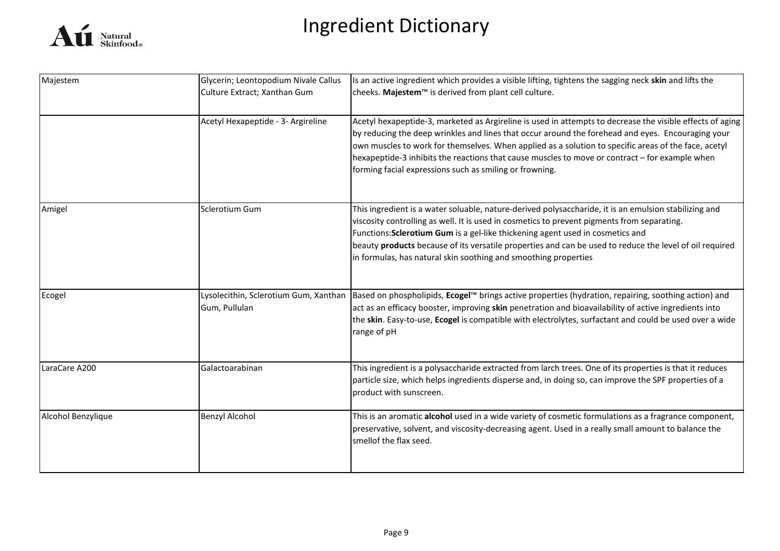

| Majestem           | Glycerin; Leontopodium Nivale Callus                   | Is an active ingredient which provides a visible lifting, tightens the sagging neck skin and lifts the                                                                                                                                                                                                                                                                                                                                                                              |
|--------------------|--------------------------------------------------------|-------------------------------------------------------------------------------------------------------------------------------------------------------------------------------------------------------------------------------------------------------------------------------------------------------------------------------------------------------------------------------------------------------------------------------------------------------------------------------------|
|                    | Culture Extract; Xanthan Gum                           | cheeks. Majestem™ is derived from plant cell culture.                                                                                                                                                                                                                                                                                                                                                                                                                               |
|                    | Acetyl Hexapeptide - 3- Argireline                     | Acetyl hexapeptide-3, marketed as Argireline is used in attempts to decrease the visible effects of aging<br>by reducing the deep wrinkles and lines that occur around the forehead and eyes. Encouraging your<br>own muscles to work for themselves. When applied as a solution to specific areas of the face, acetyl<br>hexapeptide-3 inhibits the reactions that cause muscles to move or contract - for example when<br>forming facial expressions such as smiling or frowning. |
| Amigel             | Sclerotium Gum                                         | This ingredient is a water soluable, nature-derived polysaccharide, it is an emulsion stabilizing and<br>viscosity controlling as well. It is used in cosmetics to prevent pigments from separating.<br>Functions: Sclerotium Gum is a gel-like thickening agent used in cosmetics and<br>beauty products because of its versatile properties and can be used to reduce the level of oil required<br>in formulas, has natural skin soothing and smoothing properties                |
| Ecogel             | Lysolecithin, Sclerotium Gum, Xanthan<br>Gum, Pullulan | Based on phospholipids, Ecogel™ brings active properties (hydration, repairing, soothing action) and<br>act as an efficacy booster, improving skin penetration and bioavailability of active ingredients into<br>the skin. Easy-to-use, Ecogel is compatible with electrolytes, surfactant and could be used over a wide<br>range of pH                                                                                                                                             |
| LaraCare A200      | Galactoarabinan                                        | This ingredient is a polysaccharide extracted from larch trees. One of its properties is that it reduces<br>particle size, which helps ingredients disperse and, in doing so, can improve the SPF properties of a<br>product with sunscreen.                                                                                                                                                                                                                                        |
| Alcohol Benzylique | <b>Benzyl Alcohol</b>                                  | This is an aromatic alcohol used in a wide variety of cosmetic formulations as a fragrance component,<br>preservative, solvent, and viscosity-decreasing agent. Used in a really small amount to balance the<br>smellof the flax seed.                                                                                                                                                                                                                                              |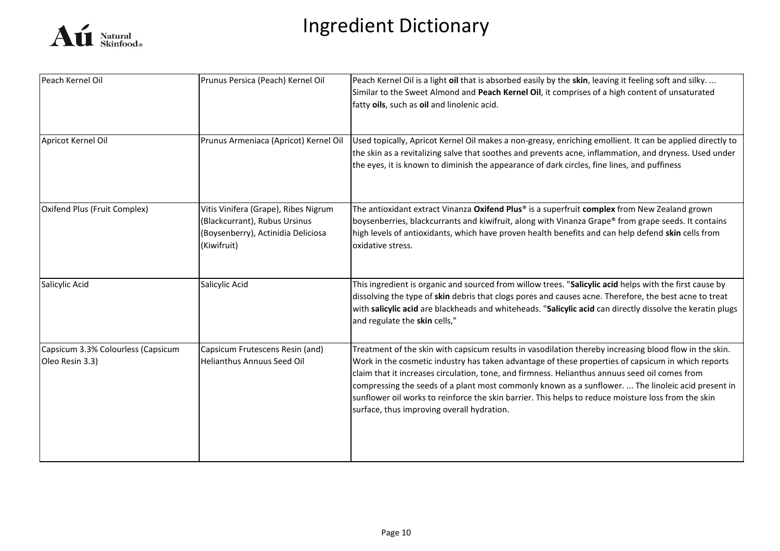

| Peach Kernel Oil                                      | Prunus Persica (Peach) Kernel Oil                                                                                          | Peach Kernel Oil is a light oil that is absorbed easily by the skin, leaving it feeling soft and silky.<br>Similar to the Sweet Almond and Peach Kernel Oil, it comprises of a high content of unsaturated<br>fatty oils, such as oil and linolenic acid.                                                                                                                                                                                                                                                                                                                 |
|-------------------------------------------------------|----------------------------------------------------------------------------------------------------------------------------|---------------------------------------------------------------------------------------------------------------------------------------------------------------------------------------------------------------------------------------------------------------------------------------------------------------------------------------------------------------------------------------------------------------------------------------------------------------------------------------------------------------------------------------------------------------------------|
| Apricot Kernel Oil                                    | Prunus Armeniaca (Apricot) Kernel Oil                                                                                      | Used topically, Apricot Kernel Oil makes a non-greasy, enriching emollient. It can be applied directly to<br>the skin as a revitalizing salve that soothes and prevents acne, inflammation, and dryness. Used under<br>the eyes, it is known to diminish the appearance of dark circles, fine lines, and puffiness                                                                                                                                                                                                                                                        |
| Oxifend Plus (Fruit Complex)                          | Vitis Vinifera (Grape), Ribes Nigrum<br>(Blackcurrant), Rubus Ursinus<br>(Boysenberry), Actinidia Deliciosa<br>(Kiwifruit) | The antioxidant extract Vinanza Oxifend Plus® is a superfruit complex from New Zealand grown<br>boysenberries, blackcurrants and kiwifruit, along with Vinanza Grape® from grape seeds. It contains<br>high levels of antioxidants, which have proven health benefits and can help defend skin cells from<br>oxidative stress.                                                                                                                                                                                                                                            |
| Salicylic Acid                                        | Salicylic Acid                                                                                                             | This ingredient is organic and sourced from willow trees. "Salicylic acid helps with the first cause by<br>dissolving the type of skin debris that clogs pores and causes acne. Therefore, the best acne to treat<br>with salicylic acid are blackheads and whiteheads. "Salicylic acid can directly dissolve the keratin plugs<br>and regulate the skin cells,"                                                                                                                                                                                                          |
| Capsicum 3.3% Colourless (Capsicum<br>Oleo Resin 3.3) | Capsicum Frutescens Resin (and)<br>Helianthus Annuus Seed Oil                                                              | Treatment of the skin with capsicum results in vasodilation thereby increasing blood flow in the skin.<br>Work in the cosmetic industry has taken advantage of these properties of capsicum in which reports<br>claim that it increases circulation, tone, and firmness. Helianthus annuus seed oil comes from<br>compressing the seeds of a plant most commonly known as a sunflower.  The linoleic acid present in<br>sunflower oil works to reinforce the skin barrier. This helps to reduce moisture loss from the skin<br>surface, thus improving overall hydration. |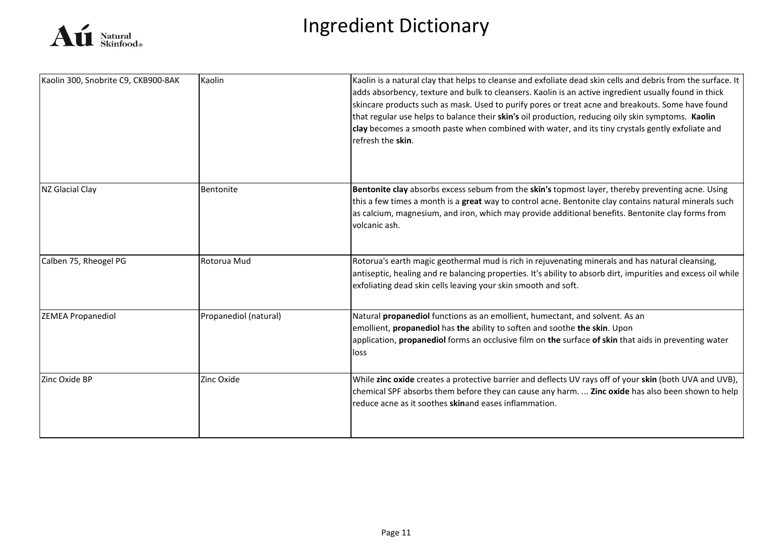

| Kaolin 300, Snobrite C9, CKB900-8AK | Kaolin                | Kaolin is a natural clay that helps to cleanse and exfoliate dead skin cells and debris from the surface. It<br>adds absorbency, texture and bulk to cleansers. Kaolin is an active ingredient usually found in thick<br>skincare products such as mask. Used to purify pores or treat acne and breakouts. Some have found<br>that regular use helps to balance their skin's oil production, reducing oily skin symptoms. Kaolin<br>clay becomes a smooth paste when combined with water, and its tiny crystals gently exfoliate and<br>refresh the skin. |
|-------------------------------------|-----------------------|-----------------------------------------------------------------------------------------------------------------------------------------------------------------------------------------------------------------------------------------------------------------------------------------------------------------------------------------------------------------------------------------------------------------------------------------------------------------------------------------------------------------------------------------------------------|
| NZ Glacial Clay                     | Bentonite             | Bentonite clay absorbs excess sebum from the skin's topmost layer, thereby preventing acne. Using<br>this a few times a month is a great way to control acne. Bentonite clay contains natural minerals such<br>as calcium, magnesium, and iron, which may provide additional benefits. Bentonite clay forms from<br>volcanic ash.                                                                                                                                                                                                                         |
| Calben 75, Rheogel PG               | Rotorua Mud           | Rotorua's earth magic geothermal mud is rich in rejuvenating minerals and has natural cleansing,<br>antiseptic, healing and re balancing properties. It's ability to absorb dirt, impurities and excess oil while<br>exfoliating dead skin cells leaving your skin smooth and soft.                                                                                                                                                                                                                                                                       |
| <b>ZEMEA Propanediol</b>            | Propanediol (natural) | Natural propanediol functions as an emollient, humectant, and solvent. As an<br>emollient, propanediol has the ability to soften and soothe the skin. Upon<br>application, <b>propanediol</b> forms an occlusive film on the surface of skin that aids in preventing water<br>loss                                                                                                                                                                                                                                                                        |
| Zinc Oxide BP                       | Zinc Oxide            | While zinc oxide creates a protective barrier and deflects UV rays off of your skin (both UVA and UVB),<br>chemical SPF absorbs them before they can cause any harm.  Zinc oxide has also been shown to help<br>reduce acne as it soothes skinand eases inflammation.                                                                                                                                                                                                                                                                                     |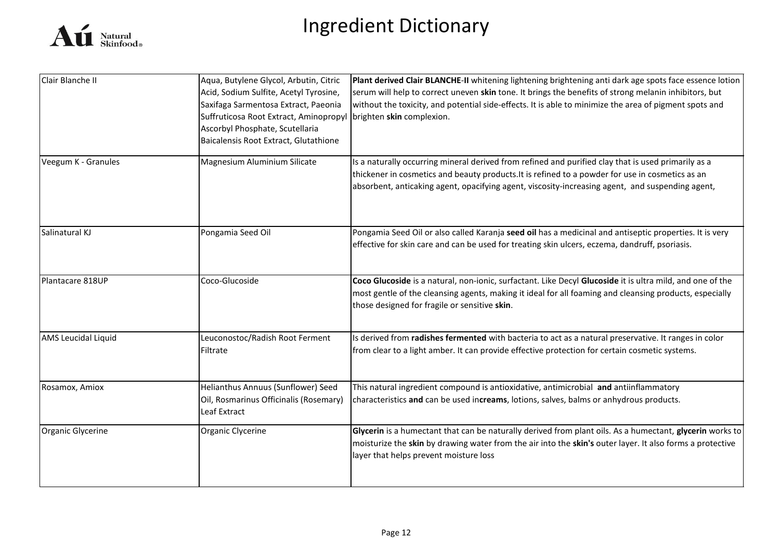

| Clair Blanche II           | Aqua, Butylene Glycol, Arbutin, Citric<br>Acid, Sodium Sulfite, Acetyl Tyrosine,<br>Saxifaga Sarmentosa Extract, Paeonia<br>Suffruticosa Root Extract, Aminopropyl<br>Ascorbyl Phosphate, Scutellaria<br>Baicalensis Root Extract, Glutathione | Plant derived Clair BLANCHE-II whitening lightening brightening anti dark age spots face essence lotion<br>serum will help to correct uneven skin tone. It brings the benefits of strong melanin inhibitors, but<br>without the toxicity, and potential side-effects. It is able to minimize the area of pigment spots and<br>brighten skin complexion. |
|----------------------------|------------------------------------------------------------------------------------------------------------------------------------------------------------------------------------------------------------------------------------------------|---------------------------------------------------------------------------------------------------------------------------------------------------------------------------------------------------------------------------------------------------------------------------------------------------------------------------------------------------------|
| Veegum K - Granules        | Magnesium Aluminium Silicate                                                                                                                                                                                                                   | Is a naturally occurring mineral derived from refined and purified clay that is used primarily as a<br>thickener in cosmetics and beauty products. It is refined to a powder for use in cosmetics as an<br>absorbent, anticaking agent, opacifying agent, viscosity-increasing agent, and suspending agent,                                             |
| Salinatural KJ             | Pongamia Seed Oil                                                                                                                                                                                                                              | Pongamia Seed Oil or also called Karanja seed oil has a medicinal and antiseptic properties. It is very<br>effective for skin care and can be used for treating skin ulcers, eczema, dandruff, psoriasis.                                                                                                                                               |
| Plantacare 818UP           | Coco-Glucoside                                                                                                                                                                                                                                 | Coco Glucoside is a natural, non-ionic, surfactant. Like Decyl Glucoside it is ultra mild, and one of the<br>most gentle of the cleansing agents, making it ideal for all foaming and cleansing products, especially<br>those designed for fragile or sensitive skin.                                                                                   |
| <b>AMS Leucidal Liquid</b> | Leuconostoc/Radish Root Ferment<br>Filtrate                                                                                                                                                                                                    | Is derived from radishes fermented with bacteria to act as a natural preservative. It ranges in color<br>from clear to a light amber. It can provide effective protection for certain cosmetic systems.                                                                                                                                                 |
| Rosamox, Amiox             | Helianthus Annuus (Sunflower) Seed<br>Oil, Rosmarinus Officinalis (Rosemary)<br>Leaf Extract                                                                                                                                                   | This natural ingredient compound is antioxidative, antimicrobial and antiinflammatory<br>characteristics and can be used increams, lotions, salves, balms or anhydrous products.                                                                                                                                                                        |
| Organic Glycerine          | Organic Clycerine                                                                                                                                                                                                                              | Glycerin is a humectant that can be naturally derived from plant oils. As a humectant, glycerin works to<br>moisturize the skin by drawing water from the air into the skin's outer layer. It also forms a protective<br>layer that helps prevent moisture loss                                                                                         |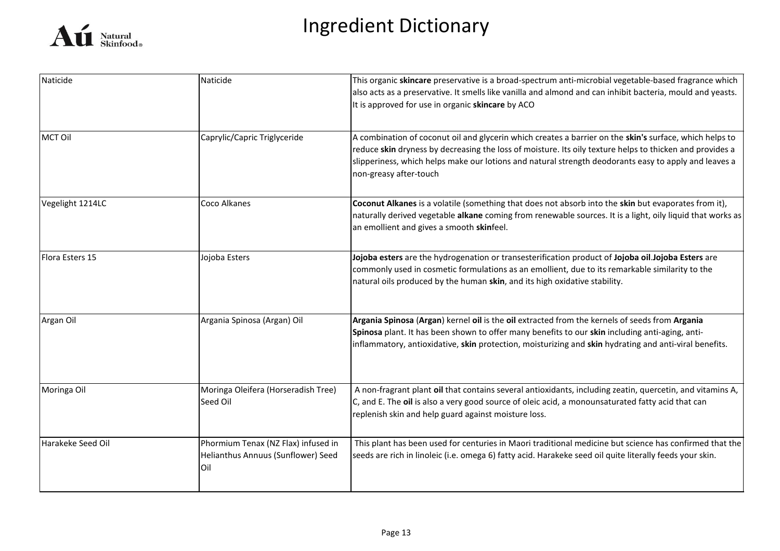

| Naticide          | Naticide                                                                          | This organic skincare preservative is a broad-spectrum anti-microbial vegetable-based fragrance which<br>also acts as a preservative. It smells like vanilla and almond and can inhibit bacteria, mould and yeasts.<br>It is approved for use in organic skincare by ACO                                                                               |
|-------------------|-----------------------------------------------------------------------------------|--------------------------------------------------------------------------------------------------------------------------------------------------------------------------------------------------------------------------------------------------------------------------------------------------------------------------------------------------------|
| <b>MCT Oil</b>    | Caprylic/Capric Triglyceride                                                      | A combination of coconut oil and glycerin which creates a barrier on the skin's surface, which helps to<br>reduce skin dryness by decreasing the loss of moisture. Its oily texture helps to thicken and provides a<br>slipperiness, which helps make our lotions and natural strength deodorants easy to apply and leaves a<br>non-greasy after-touch |
| Vegelight 1214LC  | Coco Alkanes                                                                      | Coconut Alkanes is a volatile (something that does not absorb into the skin but evaporates from it),<br>naturally derived vegetable alkane coming from renewable sources. It is a light, oily liquid that works as<br>an emollient and gives a smooth skinfeel.                                                                                        |
| Flora Esters 15   | Jojoba Esters                                                                     | Jojoba esters are the hydrogenation or transesterification product of Jojoba oil.Jojoba Esters are<br>commonly used in cosmetic formulations as an emollient, due to its remarkable similarity to the<br>natural oils produced by the human skin, and its high oxidative stability.                                                                    |
| Argan Oil         | Argania Spinosa (Argan) Oil                                                       | Argania Spinosa (Argan) kernel oil is the oil extracted from the kernels of seeds from Argania<br>Spinosa plant. It has been shown to offer many benefits to our skin including anti-aging, anti-<br>inflammatory, antioxidative, skin protection, moisturizing and skin hydrating and anti-viral benefits.                                            |
| Moringa Oil       | Moringa Oleifera (Horseradish Tree)<br>Seed Oil                                   | A non-fragrant plant oil that contains several antioxidants, including zeatin, quercetin, and vitamins A,<br>C, and E. The oil is also a very good source of oleic acid, a monounsaturated fatty acid that can<br>replenish skin and help guard against moisture loss.                                                                                 |
| Harakeke Seed Oil | Phormium Tenax (NZ Flax) infused in<br>Helianthus Annuus (Sunflower) Seed<br>lOil | This plant has been used for centuries in Maori traditional medicine but science has confirmed that the<br>seeds are rich in linoleic (i.e. omega 6) fatty acid. Harakeke seed oil quite literally feeds your skin.                                                                                                                                    |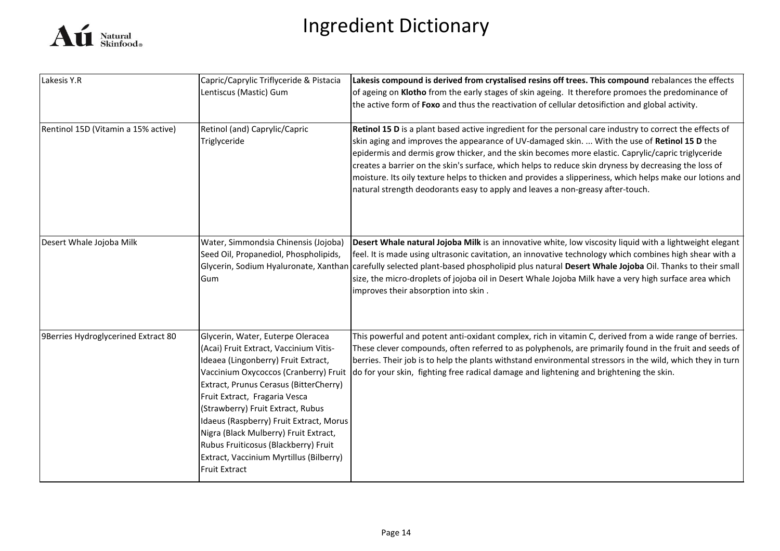

| Lakesis Y.R                         | Capric/Caprylic Triflyceride & Pistacia<br>Lentiscus (Mastic) Gum                                                                                                                                                                                                                                                                                                                                                                 | Lakesis compound is derived from crystalised resins off trees. This compound rebalances the effects<br>of ageing on Klotho from the early stages of skin ageing. It therefore promoes the predominance of<br>the active form of Foxo and thus the reactivation of cellular detosifiction and global activity.                                                                                                                                                                                                                                                                                                          |
|-------------------------------------|-----------------------------------------------------------------------------------------------------------------------------------------------------------------------------------------------------------------------------------------------------------------------------------------------------------------------------------------------------------------------------------------------------------------------------------|------------------------------------------------------------------------------------------------------------------------------------------------------------------------------------------------------------------------------------------------------------------------------------------------------------------------------------------------------------------------------------------------------------------------------------------------------------------------------------------------------------------------------------------------------------------------------------------------------------------------|
| Rentinol 15D (Vitamin a 15% active) | Retinol (and) Caprylic/Capric<br>Triglyceride                                                                                                                                                                                                                                                                                                                                                                                     | Retinol 15 D is a plant based active ingredient for the personal care industry to correct the effects of<br>skin aging and improves the appearance of UV-damaged skin.  With the use of Retinol 15 D the<br>epidermis and dermis grow thicker, and the skin becomes more elastic. Caprylic/capric triglyceride<br>creates a barrier on the skin's surface, which helps to reduce skin dryness by decreasing the loss of<br>moisture. Its oily texture helps to thicken and provides a slipperiness, which helps make our lotions and<br>natural strength deodorants easy to apply and leaves a non-greasy after-touch. |
| Desert Whale Jojoba Milk            | Water, Simmondsia Chinensis (Jojoba)<br>Seed Oil, Propanediol, Phospholipids,<br>Gum                                                                                                                                                                                                                                                                                                                                              | Desert Whale natural Jojoba Milk is an innovative white, low viscosity liquid with a lightweight elegant<br>feel. It is made using ultrasonic cavitation, an innovative technology which combines high shear with a<br>Glycerin, Sodium Hyaluronate, Xanthan carefully selected plant-based phospholipid plus natural Desert Whale Jojoba Oil. Thanks to their small<br>size, the micro-droplets of jojoba oil in Desert Whale Jojoba Milk have a very high surface area which<br>improves their absorption into skin.                                                                                                 |
| 9Berries Hydroglycerined Extract 80 | Glycerin, Water, Euterpe Oleracea<br>(Acai) Fruit Extract, Vaccinium Vitis-<br>Ideaea (Lingonberry) Fruit Extract,<br>Extract, Prunus Cerasus (BitterCherry)<br>Fruit Extract, Fragaria Vesca<br>(Strawberry) Fruit Extract, Rubus<br>Idaeus (Raspberry) Fruit Extract, Morus<br>Nigra (Black Mulberry) Fruit Extract,<br>Rubus Fruiticosus (Blackberry) Fruit<br>Extract, Vaccinium Myrtillus (Bilberry)<br><b>Fruit Extract</b> | This powerful and potent anti-oxidant complex, rich in vitamin C, derived from a wide range of berries.<br>These clever compounds, often referred to as polyphenols, are primarily found in the fruit and seeds of<br>berries. Their job is to help the plants withstand environmental stressors in the wild, which they in turn<br>Vaccinium Oxycoccos (Cranberry) Fruit   do for your skin, fighting free radical damage and lightening and brightening the skin.                                                                                                                                                    |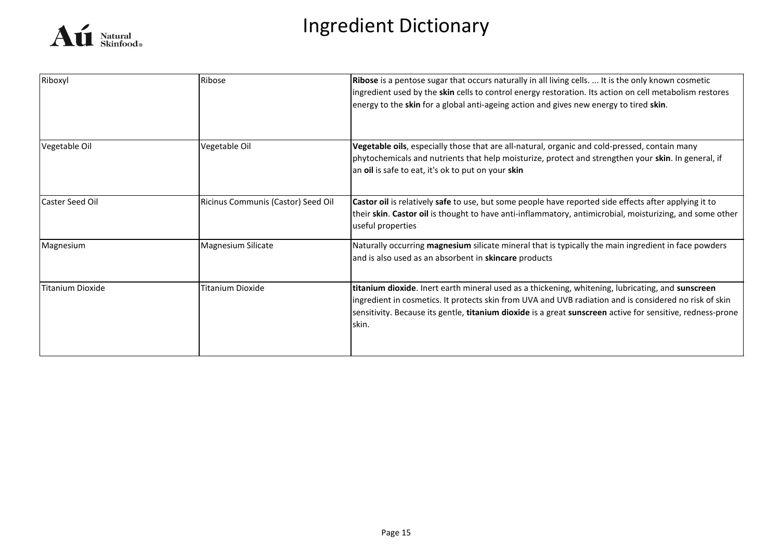

| Riboxyl          | Ribose                             | Ribose is a pentose sugar that occurs naturally in all living cells.  It is the only known cosmetic<br>ingredient used by the skin cells to control energy restoration. Its action on cell metabolism restores<br>energy to the skin for a global anti-ageing action and gives new energy to tired skin.                            |
|------------------|------------------------------------|-------------------------------------------------------------------------------------------------------------------------------------------------------------------------------------------------------------------------------------------------------------------------------------------------------------------------------------|
| Vegetable Oil    | Vegetable Oil                      | Vegetable oils, especially those that are all-natural, organic and cold-pressed, contain many<br>phytochemicals and nutrients that help moisturize, protect and strengthen your skin. In general, if<br>an oil is safe to eat, it's ok to put on your skin                                                                          |
| Caster Seed Oil  | Ricinus Communis (Castor) Seed Oil | Castor oil is relatively safe to use, but some people have reported side effects after applying it to<br>their skin. Castor oil is thought to have anti-inflammatory, antimicrobial, moisturizing, and some other<br>useful properties                                                                                              |
| Magnesium        | Magnesium Silicate                 | Naturally occurring magnesium silicate mineral that is typically the main ingredient in face powders<br>and is also used as an absorbent in skincare products                                                                                                                                                                       |
| Titanium Dioxide | Titanium Dioxide                   | titanium dioxide. Inert earth mineral used as a thickening, whitening, lubricating, and sunscreen<br>ingredient in cosmetics. It protects skin from UVA and UVB radiation and is considered no risk of skin<br>sensitivity. Because its gentle, titanium dioxide is a great sunscreen active for sensitive, redness-prone<br>lskin. |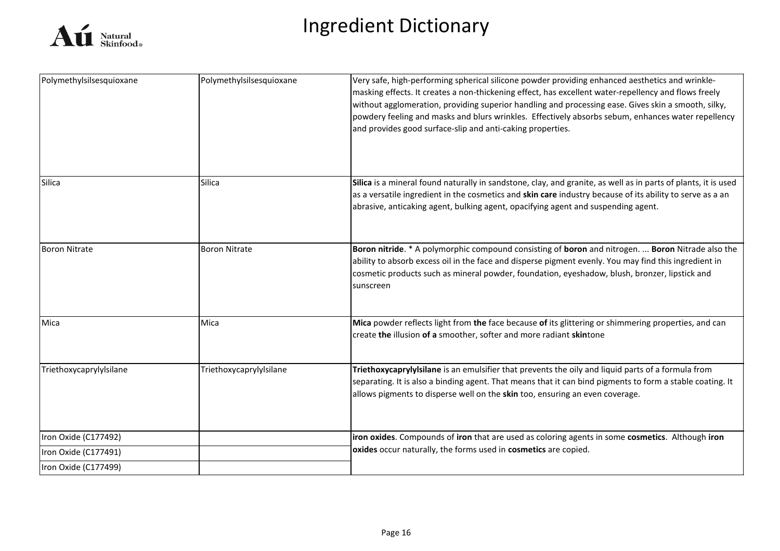

| Polymethylsilsesquioxane | Polymethylsilsesquioxane | Very safe, high-performing spherical silicone powder providing enhanced aesthetics and wrinkle-<br>masking effects. It creates a non-thickening effect, has excellent water-repellency and flows freely<br>without agglomeration, providing superior handling and processing ease. Gives skin a smooth, silky,<br>powdery feeling and masks and blurs wrinkles. Effectively absorbs sebum, enhances water repellency<br>and provides good surface-slip and anti-caking properties. |
|--------------------------|--------------------------|------------------------------------------------------------------------------------------------------------------------------------------------------------------------------------------------------------------------------------------------------------------------------------------------------------------------------------------------------------------------------------------------------------------------------------------------------------------------------------|
| <b>Silica</b>            | <b>Silica</b>            | Silica is a mineral found naturally in sandstone, clay, and granite, as well as in parts of plants, it is used<br>as a versatile ingredient in the cosmetics and skin care industry because of its ability to serve as a an<br>abrasive, anticaking agent, bulking agent, opacifying agent and suspending agent.                                                                                                                                                                   |
| <b>Boron Nitrate</b>     | <b>Boron Nitrate</b>     | Boron nitride. * A polymorphic compound consisting of boron and nitrogen.  Boron Nitrade also the<br>ability to absorb excess oil in the face and disperse pigment evenly. You may find this ingredient in<br>cosmetic products such as mineral powder, foundation, eyeshadow, blush, bronzer, lipstick and<br>sunscreen                                                                                                                                                           |
| Mica                     | Mica                     | Mica powder reflects light from the face because of its glittering or shimmering properties, and can<br>create the illusion of a smoother, softer and more radiant skintone                                                                                                                                                                                                                                                                                                        |
| Triethoxycaprylylsilane  | Triethoxycaprylylsilane  | Triethoxycaprylylsilane is an emulsifier that prevents the oily and liquid parts of a formula from<br>separating. It is also a binding agent. That means that it can bind pigments to form a stable coating. It<br>allows pigments to disperse well on the skin too, ensuring an even coverage.                                                                                                                                                                                    |
| Iron Oxide (C177492)     |                          | iron oxides. Compounds of iron that are used as coloring agents in some cosmetics. Although iron                                                                                                                                                                                                                                                                                                                                                                                   |
| Iron Oxide (C177491)     |                          | oxides occur naturally, the forms used in cosmetics are copied.                                                                                                                                                                                                                                                                                                                                                                                                                    |
| Iron Oxide (C177499)     |                          |                                                                                                                                                                                                                                                                                                                                                                                                                                                                                    |